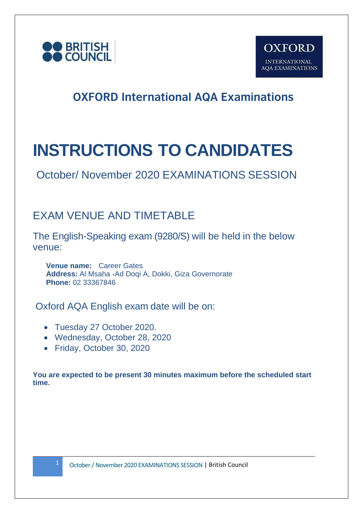



# **INSTRUCTIONS TO CANDIDATES**

October/ November 2020 EXAMINATIONS SESSION

#### EXAM VENUE AND TIMETABLE

The English-Speaking exam (9280/S) will be held in the below venue:

**Venue name:** Career Gates **Address:** Al Msaha ،Ad Doqi A, Dokki, Giza Governorate **Phone:** 02 33367846

Oxford AQA English exam date will be on:

- Tuesday 27 October 2020.
- Wednesday, October 28, 2020
- Friday, October 30, 2020

**You are expected to be present 30 minutes maximum before the scheduled start time.**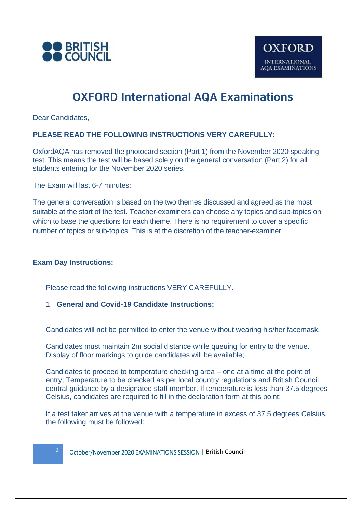

Dear Candidates,

#### **PLEASE READ THE FOLLOWING INSTRUCTIONS VERY CAREFULLY:**

OxfordAQA has removed the photocard section (Part 1) from the November 2020 speaking test. This means the test will be based solely on the general conversation (Part 2) for all students entering for the November 2020 series.

The Exam will last 6-7 minutes:

The general conversation is based on the two themes discussed and agreed as the most suitable at the start of the test. Teacher-examiners can choose any topics and sub-topics on which to base the questions for each theme. There is no requirement to cover a specific number of topics or sub-topics. This is at the discretion of the teacher-examiner.

#### **Exam Day Instructions:**

Please read the following instructions VERY CAREFULLY.

#### 1. **General and Covid-19 Candidate Instructions:**

Candidates will not be permitted to enter the venue without wearing his/her facemask.

Candidates must maintain 2m social distance while queuing for entry to the venue. Display of floor markings to guide candidates will be available;

Candidates to proceed to temperature checking area – one at a time at the point of entry; Temperature to be checked as per local country regulations and British Council central guidance by a designated staff member. If temperature is less than 37.5 degrees Celsius, candidates are required to fill in the declaration form at this point;

If a test taker arrives at the venue with a temperature in excess of 37.5 degrees Celsius, the following must be followed: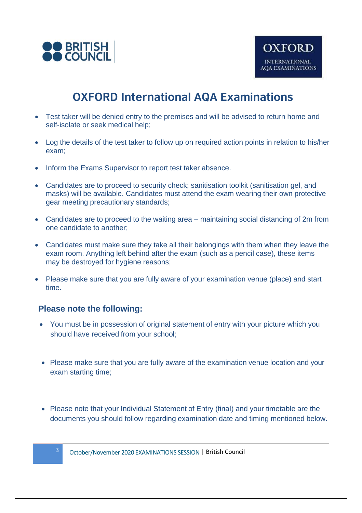

- Test taker will be denied entry to the premises and will be advised to return home and self-isolate or seek medical help;
- Log the details of the test taker to follow up on required action points in relation to his/her exam;
- Inform the Exams Supervisor to report test taker absence.
- Candidates are to proceed to security check; sanitisation toolkit (sanitisation gel, and masks) will be available. Candidates must attend the exam wearing their own protective gear meeting precautionary standards;
- Candidates are to proceed to the waiting area maintaining social distancing of 2m from one candidate to another;
- Candidates must make sure they take all their belongings with them when they leave the exam room. Anything left behind after the exam (such as a pencil case), these items may be destroyed for hygiene reasons;
- Please make sure that you are fully aware of your examination venue (place) and start time.

#### **Please note the following:**

- You must be in possession of original statement of entry with your picture which you should have received from your school;
- Please make sure that you are fully aware of the examination venue location and your exam starting time;
- Please note that your Individual Statement of Entry (final) and your timetable are the documents you should follow regarding examination date and timing mentioned below.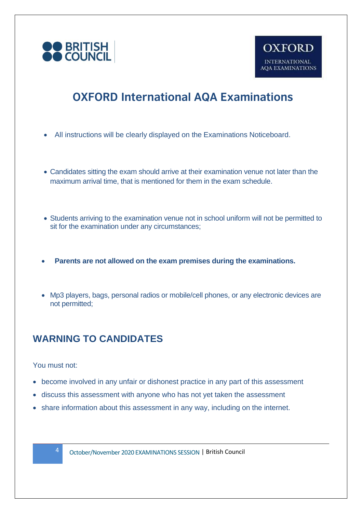

- All instructions will be clearly displayed on the Examinations Noticeboard.
- Candidates sitting the exam should arrive at their examination venue not later than the maximum arrival time, that is mentioned for them in the exam schedule.
- Students arriving to the examination venue not in school uniform will not be permitted to sit for the examination under any circumstances;
- **Parents are not allowed on the exam premises during the examinations.**
- Mp3 players, bags, personal radios or mobile/cell phones, or any electronic devices are not permitted;

#### **WARNING TO CANDIDATES**

You must not:

- become involved in any unfair or dishonest practice in any part of this assessment
- discuss this assessment with anyone who has not yet taken the assessment
- share information about this assessment in any way, including on the internet.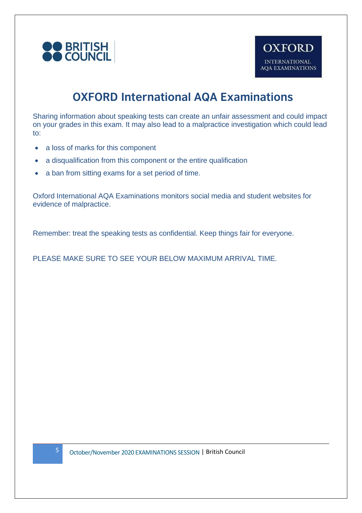

Sharing information about speaking tests can create an unfair assessment and could impact on your grades in this exam. It may also lead to a malpractice investigation which could lead to:

- a loss of marks for this component
- a disqualification from this component or the entire qualification
- a ban from sitting exams for a set period of time.

Oxford International AQA Examinations monitors social media and student websites for evidence of malpractice.

Remember: treat the speaking tests as confidential. Keep things fair for everyone.

PLEASE MAKE SURE TO SEE YOUR BELOW MAXIMUM ARRIVAL TIME.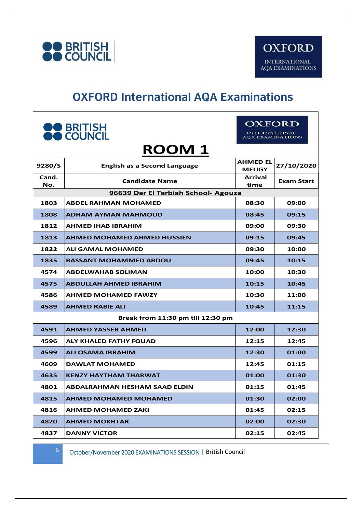

## **OXFORD International AQA Examinations**

| <b>OO</b> BRITISH<br><b>OO</b> COUNCIL |                                     | OXFORD<br><b>INTERNATIONAL</b><br><b>AOA EXAMINATIONS</b> |                   |  |  |  |
|----------------------------------------|-------------------------------------|-----------------------------------------------------------|-------------------|--|--|--|
| <b>ROOM1</b>                           |                                     |                                                           |                   |  |  |  |
| 9280/S                                 | <b>English as a Second Language</b> | <b>AHMED EL</b><br><b>MELIGY</b>                          | 27/10/2020        |  |  |  |
| Cand.<br>No.                           | <b>Candidate Name</b>               | Arrival<br>time                                           | <b>Exam Start</b> |  |  |  |
| 96639 Dar El Tarbiah School- Agouza    |                                     |                                                           |                   |  |  |  |
| 1803                                   | <b>ABDEL RAHMAN MOHAMED</b>         | 08:30                                                     | 09:00             |  |  |  |
| 1808                                   | <b>ADHAM AYMAN MAHMOUD</b>          | 08:45                                                     | 09:15             |  |  |  |
| 1812                                   | <b>AHMED IHAB IBRAHIM</b>           | 09:00                                                     | 09:30             |  |  |  |
| 1813                                   | <b>AHMED MOHAMED AHMED HUSSIEN</b>  | 09:15                                                     | 09:45             |  |  |  |
| 1822                                   | <b>ALI GAMAL MOHAMED</b>            | 09:30                                                     | 10:00             |  |  |  |
| 1835                                   | <b>BASSANT MOHAMMED ABDOU</b>       | 09:45                                                     | 10:15             |  |  |  |
| 4574                                   | <b>ABDELWAHAB SOLIMAN</b>           | 10:00                                                     | 10:30             |  |  |  |
| 4575                                   | <b>ABDULLAH AHMED IBRAHIM</b>       | 10:15                                                     | 10:45             |  |  |  |
| 4586                                   | <b>AHMED MOHAMED FAWZY</b>          | 10:30                                                     | 11:00             |  |  |  |
| 4589                                   | <b>AHMED RABIE ALI</b>              | 10:45                                                     | 11:15             |  |  |  |
| Break from 11:30 pm till 12:30 pm      |                                     |                                                           |                   |  |  |  |
| 4591                                   | <b>AHMED YASSER AHMED</b>           | 12:00                                                     | 12:30             |  |  |  |
| 4596                                   | ALY KHALED FATHY FOUAD              | 12:15                                                     | 12:45             |  |  |  |
| 4599                                   | ALI OSAMA IBRAHIM                   | 12:30                                                     | 01:00             |  |  |  |
| 4609                                   | <b>DAWLAT MOHAMED</b>               | 12:45                                                     | 01:15             |  |  |  |
| 4635                                   | <b>KENZY HAYTHAM THARWAT</b>        | 01:00                                                     | 01:30             |  |  |  |
| 4801                                   | ABDALRAHMAN HESHAM SAAD ELDIN       | 01:15                                                     | 01:45             |  |  |  |
| 4815                                   | <b>AHMED MOHAMED MOHAMED</b>        | 01:30                                                     | 02:00             |  |  |  |
| 4816                                   | <b>AHMED MOHAMED ZAKI</b>           | 01:45                                                     | 02:15             |  |  |  |
| 4820                                   | <b>AHMED MOKHTAR</b>                | 02:00                                                     | 02:30             |  |  |  |
| 4837                                   | <b>DANNY VICTOR</b>                 | 02:15                                                     | 02:45             |  |  |  |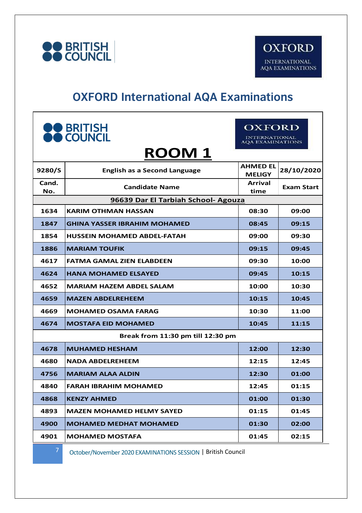

# **OXFORD International AQA Examinations**

| <b>OO</b> BRITISH<br>OO COUNCIL     |                                     | <b>OXFORD</b><br><b>INTERNATIONAL</b><br><b>AOA EXAMINATIONS</b> |                   |  |  |
|-------------------------------------|-------------------------------------|------------------------------------------------------------------|-------------------|--|--|
| <b>ROOM1</b>                        |                                     |                                                                  |                   |  |  |
| 9280/S                              | <b>English as a Second Language</b> | <b>AHMED EL</b><br><b>MELIGY</b>                                 | 28/10/2020        |  |  |
| Cand.<br>No.                        | <b>Candidate Name</b>               | <b>Arrival</b><br>time                                           | <b>Exam Start</b> |  |  |
| 96639 Dar El Tarbiah School- Agouza |                                     |                                                                  |                   |  |  |
| 1634                                | <b>KARIM OTHMAN HASSAN</b>          | 08:30                                                            | 09:00             |  |  |
| 1847                                | <b>GHINA YASSER IBRAHIM MOHAMED</b> | 08:45                                                            | 09:15             |  |  |
| 1854                                | HUSSEIN MOHAMED ABDEL-FATAH         | 09:00                                                            | 09:30             |  |  |
| 1886                                | <b>MARIAM TOUFIK</b>                | 09:15                                                            | 09:45             |  |  |
| 4617                                | FATMA GAMAL ZIEN ELABDEEN           | 09:30                                                            | 10:00             |  |  |
| 4624                                | <b>HANA MOHAMED ELSAYED</b>         | 09:45                                                            | 10:15             |  |  |
| 4652                                | <b>MARIAM HAZEM ABDEL SALAM</b>     | 10:00                                                            | 10:30             |  |  |
| 4659                                | <b>MAZEN ABDELREHEEM</b>            | 10:15                                                            | 10:45             |  |  |
| 4669                                | <b>MOHAMED OSAMA FARAG</b>          | 10:30                                                            | 11:00             |  |  |
| 4674                                | <b>MOSTAFA EID MOHAMED</b>          | 10:45                                                            | 11:15             |  |  |
| Break from 11:30 pm till 12:30 pm   |                                     |                                                                  |                   |  |  |
| 4678                                | <b>MUHAMED HESHAM</b>               | 12:00                                                            | 12:30             |  |  |
| 4680                                | <b>NADA ABDELREHEEM</b>             | 12:15                                                            | 12:45             |  |  |
| 4756                                | <b>MARIAM ALAA ALDIN</b>            | 12:30                                                            | 01:00             |  |  |
| 4840                                | <b>FARAH IBRAHIM MOHAMED</b>        | 12:45                                                            | 01:15             |  |  |
| 4868                                | <b>KENZY AHMED</b>                  | 01:00                                                            | 01:30             |  |  |
| 4893                                | <b>MAZEN MOHAMED HELMY SAYED</b>    | 01:15                                                            | 01:45             |  |  |
| 4900                                | <b>MOHAMED MEDHAT MOHAMED</b>       | 01:30                                                            | 02:00             |  |  |
| 4901                                | <b>MOHAMED MOSTAFA</b>              | 01:45                                                            | 02:15             |  |  |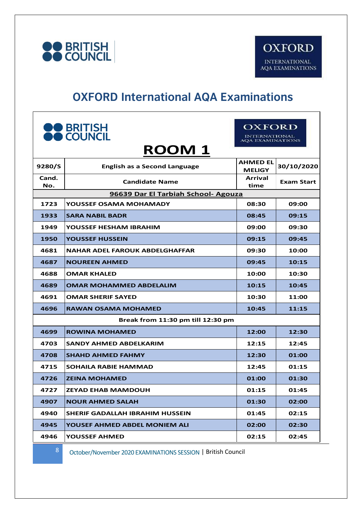

## **OXFORD International AQA Examinations**

| <b>OO</b> BRITISH<br><b>OO</b> COUNCIL<br><b>ROOM1</b> |                                        | OXFORD<br><b>INTERNATIONAL</b><br><b>AQA EXAMINATIONS</b> |                   |  |  |
|--------------------------------------------------------|----------------------------------------|-----------------------------------------------------------|-------------------|--|--|
| 9280/S                                                 | <b>English as a Second Language</b>    | <b>AHMED EL</b><br><b>MELIGY</b>                          | 30/10/2020        |  |  |
| Cand.<br>No.                                           | <b>Candidate Name</b>                  | <b>Arrival</b><br>time                                    | <b>Exam Start</b> |  |  |
| 96639 Dar El Tarbiah School- Agouza                    |                                        |                                                           |                   |  |  |
| 1723                                                   | YOUSSEF OSAMA MOHAMADY                 | 08:30                                                     | 09:00             |  |  |
| 1933                                                   | <b>SARA NABIL BADR</b>                 | 08:45                                                     | 09:15             |  |  |
| 1949                                                   | YOUSSEF HESHAM IBRAHIM                 | 09:00                                                     | 09:30             |  |  |
| 1950                                                   | YOUSSEF HUSSEIN                        | 09:15                                                     | 09:45             |  |  |
| 4681                                                   | NAHAR ADEL FAROUK ABDELGHAFFAR         | 09:30                                                     | 10:00             |  |  |
| 4687                                                   | <b>NOUREEN AHMED</b>                   | 09:45                                                     | 10:15             |  |  |
| 4688                                                   | <b>OMAR KHALED</b>                     | 10:00                                                     | 10:30             |  |  |
| 4689                                                   | <b>OMAR MOHAMMED ABDELALIM</b>         | 10:15                                                     | 10:45             |  |  |
| 4691                                                   | <b>OMAR SHERIF SAYED</b>               | 10:30                                                     | 11:00             |  |  |
| 4696                                                   | <b>RAWAN OSAMA MOHAMED</b>             | 10:45                                                     | 11:15             |  |  |
|                                                        | Break from 11:30 pm till 12:30 pm      |                                                           |                   |  |  |
| 4699                                                   | <b>ROWINA MOHAMED</b>                  | 12:00                                                     | 12:30             |  |  |
| 4703                                                   | <b>SANDY AHMED ABDELKARIM</b>          | 12:15                                                     | 12:45             |  |  |
| 4708                                                   | <b>SHAHD AHMED FAHMY</b>               | 12:30                                                     | 01:00             |  |  |
| 4715                                                   | <b>SOHAILA RABIE HAMMAD</b>            | 12:45                                                     | 01:15             |  |  |
| 4726                                                   | <b>ZEINA MOHAMED</b>                   | 01:00                                                     | 01:30             |  |  |
| 4727                                                   | <b>ZEYAD EHAB MAMDOUH</b>              | 01:15                                                     | 01:45             |  |  |
| 4907                                                   | <b>NOUR AHMED SALAH</b>                | 01:30                                                     | 02:00             |  |  |
| 4940                                                   | <b>SHERIF GADALLAH IBRAHIM HUSSEIN</b> | 01:45                                                     | 02:15             |  |  |
| 4945                                                   | YOUSEF AHMED ABDEL MONIEM ALI          | 02:00                                                     | 02:30             |  |  |
| 4946                                                   | <b>YOUSSEF AHMED</b>                   | 02:15                                                     | 02:45             |  |  |